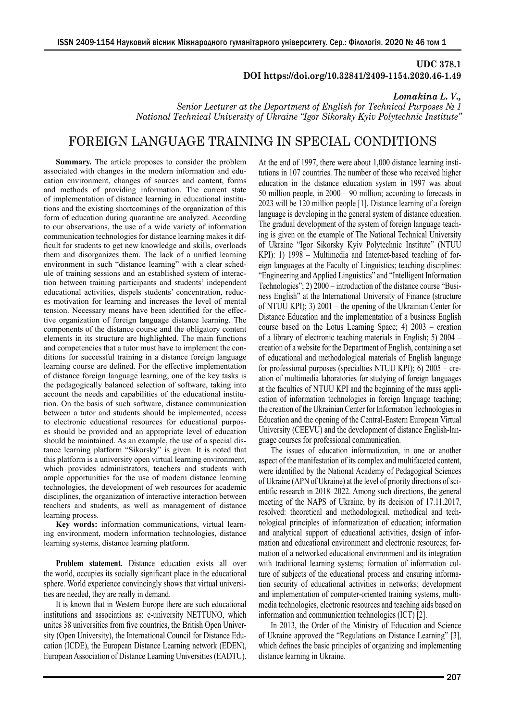## **UDC 378.1 DOI https://doi.org/10.32841/2409-1154.2020.46-1.49**

*Lomakina L. V.,*

*Senior Lecturer at the Department of English for Technical Purposes № 1 National Technical University of Ukraine "Igor Sikorsky Kyiv Polytechnic Institute"*

## FOREIGN LANGUAGE TRAINING IN SPECIAL CONDITIONS

**Summary.** The article proposes to consider the problem associated with changes in the modern information and education environment, changes of sources and content, forms and methods of providing information. The current state of implementation of distance learning in educational institutions and the existing shortcomings of the organization of this form of education during quarantine are analyzed. According to our observations, the use of a wide variety of information communication technologies for distance learning makes it difficult for students to get new knowledge and skills, overloads them and disorganizes them. The lack of a unified learning environment in such "distance learning" with a clear schedule of training sessions and an established system of interaction between training participants and students' independent educational activities, dispels students' concentration, reduces motivation for learning and increases the level of mental tension. Necessary means have been identified for the effective organization of foreign language distance learning. The components of the distance course and the obligatory content elements in its structure are highlighted. The main functions and competencies that a tutor must have to implement the conditions for successful training in a distance foreign language learning course are defined. For the effective implementation of distance foreign language learning, one of the key tasks is the pedagogically balanced selection of software, taking into account the needs and capabilities of the educational institution. On the basis of such software, distance communication between a tutor and students should be implemented, access to electronic educational resources for educational purposes should be provided and an appropriate level of education should be maintained. As an example, the use of a special distance learning platform "Sikorsky" is given. It is noted that this platform is a university open virtual learning environment, which provides administrators, teachers and students with ample opportunities for the use of modern distance learning technologies, the development of web resources for academic disciplines, the organization of interactive interaction between teachers and students, as well as management of distance learning process.

**Key words:** information communications, virtual learning environment, modern information technologies, distance learning systems, distance learning platform.

**Problem statement.** Distance education exists all over the world, occupies its socially significant place in the educational sphere. World experience convincingly shows that virtual universities are needed, they are really in demand.

It is known that in Western Europe there are such educational institutions and associations as: e-university NETTUNO, which unites 38 universities from five countries, the British Open University (Open University), the International Council for Distance Education (ICDE), the European Distance Learning network (EDEN), European Association of Distance Learning Universities (EADTU). At the end of 1997, there were about 1,000 distance learning institutions in 107 countries. The number of those who received higher education in the distance education system in 1997 was about 50 million people, in 2000 – 90 million; according to forecasts in 2023 will be 120 million people [1]. Distance learning of a foreign language is developing in the general system of distance education. The gradual development of the system of foreign language teaching is given on the example of The National Technical University of Ukraine "Igor Sikorsky Kyiv Polytechnic Institute" (NTUU KPI): 1) 1998 – Multimedia and Internet-based teaching of foreign languages at the Faculty of Linguistics; teaching disciplines: "Engineering and Applied Linguistics" and "Intelligent Information Technologies"; 2) 2000 – introduction of the distance course "Business English" at the International University of Finance (structure of NTUU KPI); 3) 2001 – the opening of the Ukrainian Center for Distance Education and the implementation of a business English course based on the Lotus Learning Space; 4) 2003 – creation of a library of electronic teaching materials in English; 5) 2004 – creation of a website for the Department of English, containing a set of educational and methodological materials of English language for professional purposes (specialties NTUU KPI); 6) 2005 – creation of multimedia laboratories for studying of foreign languages at the faculties of NTUU KPI and the beginning of the mass application of information technologies in foreign language teaching; the creation of the Ukrainian Center for Information Technologies in Education and the opening of the Central-Eastern European Virtual University (CEEVU) and the development of distance English-language courses for professional communication.

The issues of education informatization, in one or another aspect of the manifestation of its complex and multifaceted content, were identified by the National Academy of Pedagogical Sciences of Ukraine (APN of Ukraine) at the level of priority directions of scientific research in 2018–2022. Among such directions, the general meeting of the NAPS of Ukraine, by its decision of 17.11.2017, resolved: theoretical and methodological, methodical and technological principles of informatization of education; information and analytical support of educational activities, design of information and educational environment and electronic resources; formation of a networked educational environment and its integration with traditional learning systems; formation of information culture of subjects of the educational process and ensuring information security of educational activities in networks; development and implementation of computer-oriented training systems, multimedia technologies, electronic resources and teaching aids based on information and communication technologies (ICT) [2].

In 2013, the Order of the Ministry of Education and Science of Ukraine approved the "Regulations on Distance Learning" [3], which defines the basic principles of organizing and implementing distance learning in Ukraine.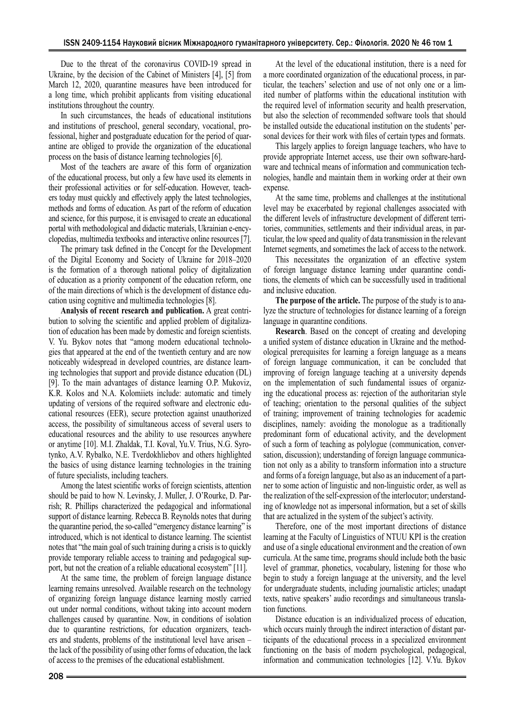Due to the threat of the coronavirus COVID-19 spread in Ukraine, by the decision of the Cabinet of Ministers [4], [5] from March 12, 2020, quarantine measures have been introduced for a long time, which prohibit applicants from visiting educational institutions throughout the country.

In such circumstances, the heads of educational institutions and institutions of preschool, general secondary, vocational, professional, higher and postgraduate education for the period of quarantine are obliged to provide the organization of the educational process on the basis of distance learning technologies [6].

Most of the teachers are aware of this form of organization of the educational process, but only a few have used its elements in their professional activities or for self-education. However, teachers today must quickly and effectively apply the latest technologies, methods and forms of education. As part of the reform of education and science, for this purpose, it is envisaged to create an educational portal with methodological and didactic materials, Ukrainian e-encyclopedias, multimedia textbooks and interactive online resources [7].

The primary task defined in the Concept for the Development of the Digital Economy and Society of Ukraine for 2018–2020 is the formation of a thorough national policy of digitalization of education as a priority component of the education reform, one of the main directions of which is the development of distance education using cognitive and multimedia technologies [8].

**Analysis of recent research and publication.** A great contribution to solving the scientific and applied problem of digitalization of education has been made by domestic and foreign scientists. V. Yu. Bykov notes that "among modern educational technologies that appeared at the end of the twentieth century and are now noticeably widespread in developed countries, are distance learning technologies that support and provide distance education (DL) [9]. To the main advantages of distance learning O.P. Mukoviz, K.R. Kolos and N.A. Kolomiiets include: automatic and timely updating of versions of the required software and electronic educational resources (EER), secure protection against unauthorized access, the possibility of simultaneous access of several users to educational resources and the ability to use resources anywhere or anytime [10]. M.I. Zhaldak, T.I. Koval, Yu.V. Trius, N.G. Syrotynko, A.V. Rybalko, N.E. Tverdokhliebov and others highlighted the basics of using distance learning technologies in the training of future specialists, including teachers.

Among the latest scientific works of foreign scientists, attention should be paid to how N. Levinsky, J. Muller, J. O'Rourke, D. Parrish; R. Phillips characterized the pedagogical and informational support of distance learning. Rebecca B. Reynolds notes that during the quarantine period, the so-called "emergency distance learning" is introduced, which is not identical to distance learning. The scientist notes that "the main goal of such training during a crisis is to quickly provide temporary reliable access to training and pedagogical support, but not the creation of a reliable educational ecosystem" [11].

At the same time, the problem of foreign language distance learning remains unresolved. Available research on the technology of organizing foreign language distance learning mostly carried out under normal conditions, without taking into account modern challenges caused by quarantine. Now, in conditions of isolation due to quarantine restrictions, for education organizers, teachers and students, problems of the institutional level have arisen – the lack of the possibility of using other forms of education, the lack of access to the premises of the educational establishment.

At the level of the educational institution, there is a need for a more coordinated organization of the educational process, in particular, the teachers' selection and use of not only one or a limited number of platforms within the educational institution with the required level of information security and health preservation, but also the selection of recommended software tools that should be installed outside the educational institution on the students' personal devices for their work with files of certain types and formats.

This largely applies to foreign language teachers, who have to provide appropriate Internet access, use their own software-hardware and technical means of information and communication technologies, handle and maintain them in working order at their own expense.

At the same time, problems and challenges at the institutional level may be exacerbated by regional challenges associated with the different levels of infrastructure development of different territories, communities, settlements and their individual areas, in particular, the low speed and quality of data transmission in the relevant Internet segments, and sometimes the lack of access to the network.

This necessitates the organization of an effective system of foreign language distance learning under quarantine conditions, the elements of which can be successfully used in traditional and inclusive education.

**The purpose of the article.** The purpose of the study is to analyze the structure of technologies for distance learning of a foreign language in quarantine conditions.

**Research**. Based on the concept of creating and developing a unified system of distance education in Ukraine and the methodological prerequisites for learning a foreign language as a means of foreign language communication, it can be concluded that improving of foreign language teaching at a university depends on the implementation of such fundamental issues of organizing the educational process as: rejection of the authoritarian style of teaching; orientation to the personal qualities of the subject of training; improvement of training technologies for academic disciplines, namely: avoiding the monologue as a traditionally predominant form of educational activity, and the development of such a form of teaching as polylogue (communication, conversation, discussion); understanding of foreign language communication not only as a ability to transform information into a structure and forms of a foreign language, but also as an inducement of a partner to some action of linguistic and non-linguistic order, as well as the realization of the self-expression of the interlocutor; understanding of knowledge not as impersonal information, but a set of skills that are actualized in the system of the subject's activity.

Therefore, one of the most important directions of distance learning at the Faculty of Linguistics of NTUU KPI is the creation and use of a single educational environment and the creation of own curricula. At the same time, programs should include both the basic level of grammar, phonetics, vocabulary, listening for those who begin to study a foreign language at the university, and the level for undergraduate students, including journalistic articles; unadapt texts, native speakers' audio recordings and simultaneous translation functions.

Distance education is an individualized process of education, which occurs mainly through the indirect interaction of distant participants of the educational process in a specialized environment functioning on the basis of modern psychological, pedagogical, information and communication technologies [12]. V.Yu. Bykov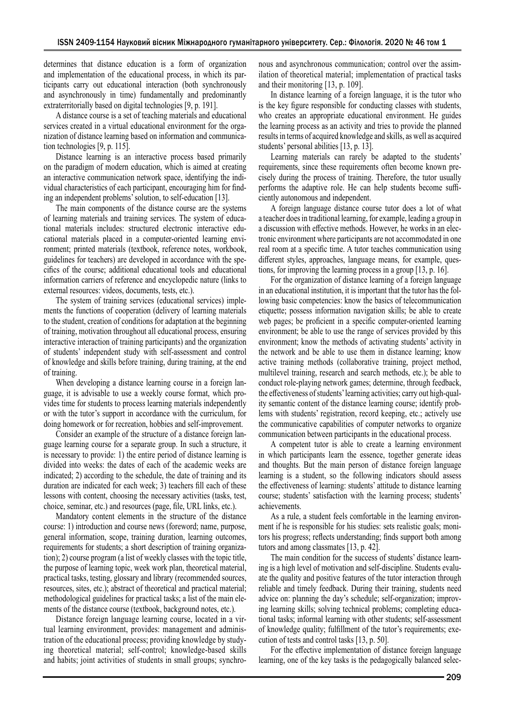determines that distance education is a form of organization and implementation of the educational process, in which its participants carry out educational interaction (both synchronously and asynchronously in time) fundamentally and predominantly extraterritorially based on digital technologies [9, p. 191].

A distance course is a set of teaching materials and educational services created in a virtual educational environment for the organization of distance learning based on information and communication technologies [9, p. 115].

Distance learning is an interactive process based primarily on the paradigm of modern education, which is aimed at creating an interactive communication network space, identifying the individual characteristics of each participant, encouraging him for finding an independent problems' solution, to self-education [13].

The main components of the distance course are the systems of learning materials and training services. The system of educational materials includes: structured electronic interactive educational materials placed in a computer-oriented learning environment; printed materials (textbook, reference notes, workbook, guidelines for teachers) are developed in accordance with the specifics of the course; additional educational tools and educational information carriers of reference and encyclopedic nature (links to external resources: videos, documents, tests, etc.).

The system of training services (educational services) implements the functions of cooperation (delivery of learning materials to the student, creation of conditions for adaptation at the beginning of training, motivation throughout all educational process, ensuring interactive interaction of training participants) and the organization of students' independent study with self-assessment and control of knowledge and skills before training, during training, at the end of training.

When developing a distance learning course in a foreign language, it is advisable to use a weekly course format, which provides time for students to process learning materials independently or with the tutor's support in accordance with the curriculum, for doing homework or for recreation, hobbies and self-improvement.

Consider an example of the structure of a distance foreign language learning course for a separate group. In such a structure, it is necessary to provide: 1) the entire period of distance learning is divided into weeks: the dates of each of the academic weeks are indicated; 2) according to the schedule, the date of training and its duration are indicated for each week; 3) teachers fill each of these lessons with content, choosing the necessary activities (tasks, test, choice, seminar, etc.) and resources (page, file, URL links, etc.).

Mandatory content elements in the structure of the distance course: 1) introduction and course news (foreword; name, purpose, general information, scope, training duration, learning outcomes, requirements for students; a short description of training organization); 2) course program (a list of weekly classes with the topic title, the purpose of learning topic, week work plan, theoretical material, practical tasks, testing, glossary and library (recommended sources, resources, sites, etc.); abstract of theoretical and practical material; methodological guidelines for practical tasks; a list of the main elements of the distance course (textbook, background notes, etc.).

Distance foreign language learning course, located in a virtual learning environment, provides: management and administration of the educational process; providing knowledge by studying theoretical material; self-control; knowledge-based skills and habits; joint activities of students in small groups; synchronous and asynchronous communication; control over the assimilation of theoretical material; implementation of practical tasks and their monitoring [13, p. 109].

In distance learning of a foreign language, it is the tutor who is the key figure responsible for conducting classes with students, who creates an appropriate educational environment. He guides the learning process as an activity and tries to provide the planned results in terms of acquired knowledge and skills, as well as acquired students' personal abilities [13, p. 13].

Learning materials can rarely be adapted to the students' requirements, since these requirements often become known precisely during the process of training. Therefore, the tutor usually performs the adaptive role. He can help students become sufficiently autonomous and independent.

A foreign language distance course tutor does a lot of what a teacher does in traditional learning, for example, leading a group in a discussion with effective methods. However, he works in an electronic environment where participants are not accommodated in one real room at a specific time. A tutor teaches communication using different styles, approaches, language means, for example, questions, for improving the learning process in a group [13, p. 16].

For the organization of distance learning of a foreign language in an educational institution, it is important that the tutor has the following basic competencies: know the basics of telecommunication etiquette; possess information navigation skills; be able to create web pages; be proficient in a specific computer-oriented learning environment; be able to use the range of services provided by this environment; know the methods of activating students' activity in the network and be able to use them in distance learning; know active training methods (collaborative training, project method, multilevel training, research and search methods, etc.); be able to conduct role-playing network games; determine, through feedback, the effectiveness of students' learning activities; carry out high-quality semantic content of the distance learning course; identify problems with students' registration, record keeping, etc.; actively use the communicative capabilities of computer networks to organize communication between participants in the educational process.

A competent tutor is able to create a learning environment in which participants learn the essence, together generate ideas and thoughts. But the main person of distance foreign language learning is a student, so the following indicators should assess the effectiveness of learning: students' attitude to distance learning course; students' satisfaction with the learning process; students' achievements.

As a rule, a student feels comfortable in the learning environment if he is responsible for his studies: sets realistic goals; monitors his progress; reflects understanding; finds support both among tutors and among classmates [13, p. 42].

The main condition for the success of students' distance learning is a high level of motivation and self-discipline. Students evaluate the quality and positive features of the tutor interaction through reliable and timely feedback. During their training, students need advice on: planning the day's schedule; self-organization; improving learning skills; solving technical problems; completing educational tasks; informal learning with other students; self-assessment of knowledge quality; fulfillment of the tutor's requirements; execution of tests and control tasks [13, p. 50].

For the effective implementation of distance foreign language learning, one of the key tasks is the pedagogically balanced selec-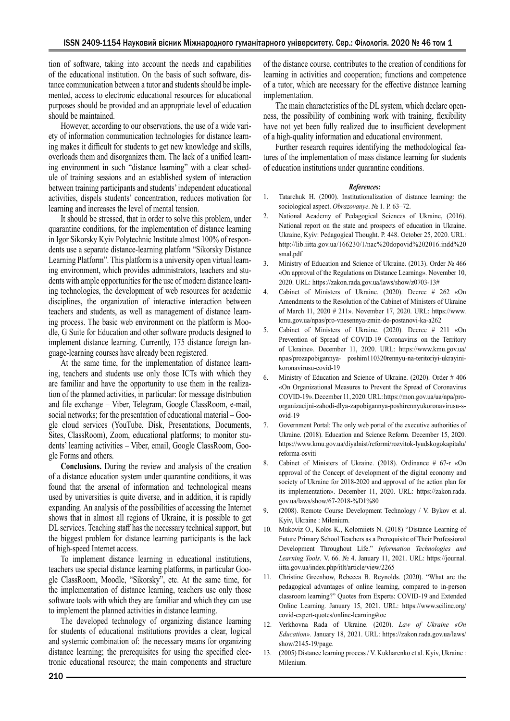tion of software, taking into account the needs and capabilities of the educational institution. On the basis of such software, distance communication between a tutor and students should be implemented, access to electronic educational resources for educational purposes should be provided and an appropriate level of education should be maintained.

However, according to our observations, the use of a wide variety of information communication technologies for distance learning makes it difficult for students to get new knowledge and skills, overloads them and disorganizes them. The lack of a unified learning environment in such "distance learning" with a clear schedule of training sessions and an established system of interaction between training participants and students' independent educational activities, dispels students' concentration, reduces motivation for learning and increases the level of mental tension.

It should be stressed, that in order to solve this problem, under quarantine conditions, for the implementation of distance learning in Igor Sikorsky Kyiv Polytechnic Institute almost 100% of respondents use a separate distance-learning platform "Sikorsky Distance Learning Platform". This platform is a university open virtual learning environment, which provides administrators, teachers and students with ample opportunities for the use of modern distance learning technologies, the development of web resources for academic disciplines, the organization of interactive interaction between teachers and students, as well as management of distance learning process. The basic web environment on the platform is Moodle, G Suite for Education and other software products designed to implement distance learning. Currently, 175 distance foreign language-learning courses have already been registered.

At the same time, for the implementation of distance learning, teachers and students use only those ICTs with which they are familiar and have the opportunity to use them in the realization of the planned activities, in particular: for message distribution and file exchange – Viber, Telegram, Google ClassRoom, e-mail, social networks; for the presentation of educational material – Google cloud services (YouTube, Disk, Presentations, Documents, Sites, ClassRoom), Zoom, educational platforms; to monitor students' learning activities – Viber, email, Google ClassRoom, Google Forms and others.

**Conclusions.** During the review and analysis of the creation of a distance education system under quarantine conditions, it was found that the arsenal of information and technological means used by universities is quite diverse, and in addition, it is rapidly expanding. An analysis of the possibilities of accessing the Internet shows that in almost all regions of Ukraine, it is possible to get DL services. Teaching staff has the necessary technical support, but the biggest problem for distance learning participants is the lack of high-speed Internet access.

To implement distance learning in educational institutions, teachers use special distance learning platforms, in particular Google ClassRoom, Moodle, "Sikorsky", etc. At the same time, for the implementation of distance learning, teachers use only those software tools with which they are familiar and which they can use to implement the planned activities in distance learning.

The developed technology of organizing distance learning for students of educational institutions provides a clear, logical and systemic combination of: the necessary means for organizing distance learning; the prerequisites for using the specified electronic educational resource; the main components and structure of the distance course, contributes to the creation of conditions for learning in activities and cooperation; functions and competence of a tutor, which are necessary for the effective distance learning implementation.

The main characteristics of the DL system, which declare openness, the possibility of combining work with training, flexibility have not yet been fully realized due to insufficient development of a high-quality information and educational environment.

Further research requires identifying the methodological features of the implementation of mass distance learning for students of education institutions under quarantine conditions.

## *References:*

- 1. Tatarchuk H. (2000). Institutionalization of distance learning: the sociological aspect. *Obrazovanye*. № 1. Р. 63–72.
- 2. National Academy of Pedagogical Sciences of Ukraine, (2016). National report on the state and prospects of education in Ukraine. Ukraine, Kyiv: Pedagogical Thought. Р. 448. October 25, 2020. URL: http://lib.iitta.gov.ua/166230/1/nac%20dopovid%202016.indd%20 smal.pdf
- 3. Ministry of Education and Science of Ukraine. (2013). Order № 466 «On approval of the Regulations on Distance Learning». November 10, 2020. URL: https://zakon.rada.gov.ua/laws/show/z0703-13#
- 4. Cabinet of Ministers of Ukraine. (2020). Decree # 262 «On Amendments to the Resolution of the Cabinet of Ministers of Ukraine of March 11, 2020 # 211». November 17, 2020. URL: https://www. kmu.gov.ua/npas/pro-vnesennya-zmin-do-postanovi-ka-a262
- 5. Cabinet of Ministers of Ukraine. (2020). Decree # 211 «On Prevention of Spread of COVID-19 Coronavirus on the Territory of Ukraine». December 11, 2020. URL: https://www.kmu.gov.ua/ npas/prozapobigannya- poshim110320rennyu-na-teritoriyi-ukrayinikoronavirusu-covid-19
- 6. Ministry of Education and Science of Ukraine. (2020). Order # 406 «On Organizational Measures to Prevent the Spread of Coronavirus COVID-19». December 11, 2020. URL: https://mon.gov.ua/ua/npa/proorganizacijni-zahodi-dlya-zapobigannya-poshirennyukoronavirusu-sovid-19
- 7. Government Portal: The only web portal of the executive authorities of Ukraine. (2018). Education and Science Reform. December 15, 2020. https://www.kmu.gov.ua/diyalnist/reformi/rozvitok-lyudskogokapitalu/ reforma-osviti
- 8. Cabinet of Ministers of Ukraine. (2018). Ordinance # 67-r «On approval of the Concept of development of the digital economy and society of Ukraine for 2018-2020 and approval of the action plan for its implementation». December 11, 2020. URL: https://zakon.rada. gov.ua/laws/show/67-2018-%D1%80
- 9. (2008). Remote Course Development Technology / V. Bykov et al. Kyiv, Ukraine : Milenium.
- 10. Mukoviz O., Kolos K., Kolomiiets N. (2018) "Distance Learning of Future Primary School Teachers as a Prerequisite of Their Professional Development Throughout Life." *Information Technologies and Learning Tools*. V. 66. № 4. January 11, 2021. URL: https://journal. iitta.gov.ua/index.php/itlt/article/view/2265
- 11. Christine Greenhow, Rebecca B. Reynolds. (2020). "What are the pedagogical advantages of online learning, compared to in-person classroom learning?" Quotes from Experts: COVID-19 and Extended Online Learning. January 15, 2021. URL: https://www.sciline.org/ covid-expert-quotes/online-learning#toc
- 12. Verkhovna Rada of Ukraine. (2020). *Law of Ukraine «On Education».* January 18, 2021. URL: https://zakon.rada.gov.ua/laws/ show/2145-19/page.
- 13. (2005) Distance learning process / V. Kukharenko et al. Kyiv, Ukraine : Milenium.